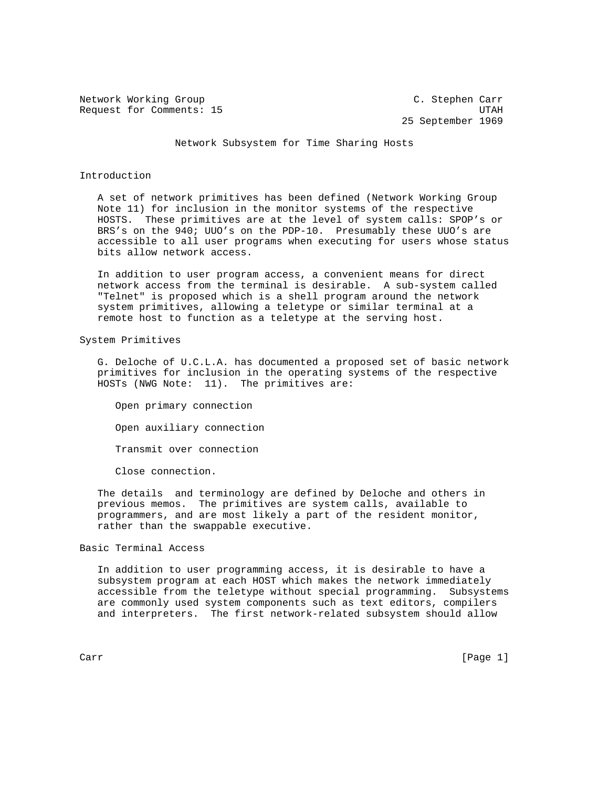Network Working Group C. Stephen Carr Request for Comments: 15 Sequest for Comments: 15

25 September 1969

Network Subsystem for Time Sharing Hosts

## Introduction

 A set of network primitives has been defined (Network Working Group Note 11) for inclusion in the monitor systems of the respective HOSTS. These primitives are at the level of system calls: SPOP's or BRS's on the 940; UUO's on the PDP-10. Presumably these UUO's are accessible to all user programs when executing for users whose status bits allow network access.

 In addition to user program access, a convenient means for direct network access from the terminal is desirable. A sub-system called "Telnet" is proposed which is a shell program around the network system primitives, allowing a teletype or similar terminal at a remote host to function as a teletype at the serving host.

## System Primitives

 G. Deloche of U.C.L.A. has documented a proposed set of basic network primitives for inclusion in the operating systems of the respective HOSTs (NWG Note: 11). The primitives are:

 Open primary connection Open auxiliary connection Transmit over connection

Close connection.

 The details and terminology are defined by Deloche and others in previous memos. The primitives are system calls, available to programmers, and are most likely a part of the resident monitor, rather than the swappable executive.

## Basic Terminal Access

 In addition to user programming access, it is desirable to have a subsystem program at each HOST which makes the network immediately accessible from the teletype without special programming. Subsystems are commonly used system components such as text editors, compilers and interpreters. The first network-related subsystem should allow

Carr [Page 1]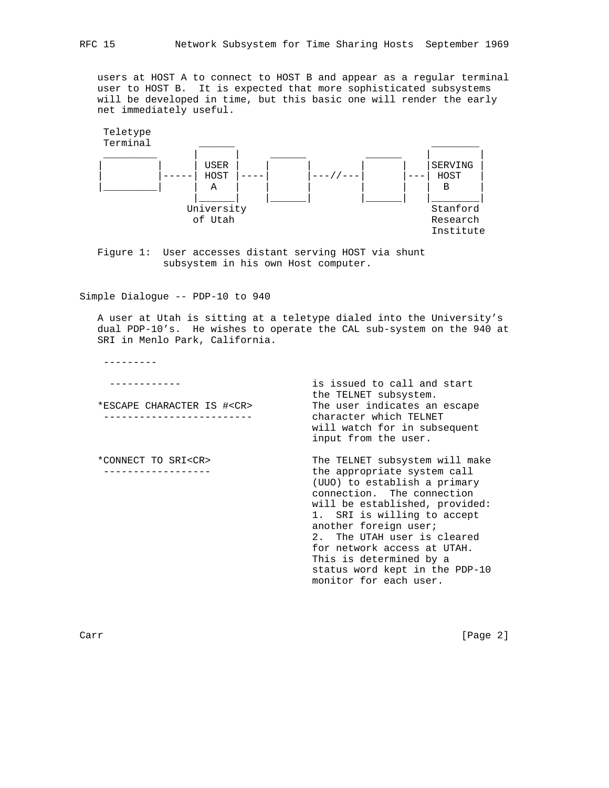users at HOST A to connect to HOST B and appear as a regular terminal user to HOST B. It is expected that more sophisticated subsystems will be developed in time, but this basic one will render the early net immediately useful.



 Figure 1: User accesses distant serving HOST via shunt subsystem in his own Host computer.

Simple Dialogue -- PDP-10 to 940

 A user at Utah is sitting at a teletype dialed into the University's dual PDP-10's. He wishes to operate the CAL sub-system on the 940 at SRI in Menlo Park, California.

 ------------ is issued to call and start \*ESCAPE CHARACTER IS #<CR> The user indicates an escape ------------------------- character which TELNET

---------

 \*CONNECT TO SRI<CR> The TELNET subsystem will make ------------------ the appropriate system call (UUO) to establish a primary connection. The connection will be established, provided: 1. SRI is willing to accept another foreign user; 2. The UTAH user is cleared for network access at UTAH. This is determined by a status word kept in the PDP-10 monitor for each user.

will watch for in subsequent

the TELNET subsystem.

input from the user.

Carr [Page 2]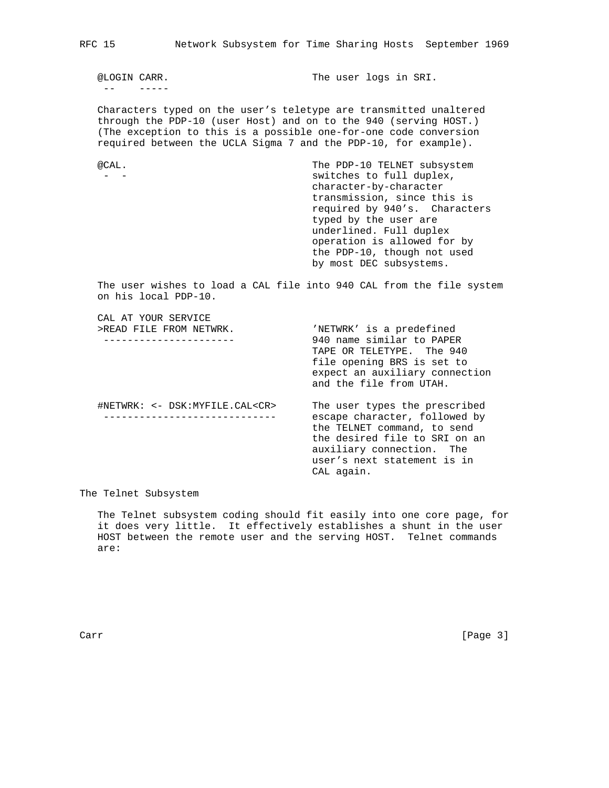-- -----

@LOGIN CARR. The user logs in SRI.

 Characters typed on the user's teletype are transmitted unaltered through the PDP-10 (user Host) and on to the 940 (serving HOST.) (The exception to this is a possible one-for-one code conversion required between the UCLA Sigma 7 and the PDP-10, for example).

 @CAL. The PDP-10 TELNET subsystem - - switches to full duplex, character-by-character transmission, since this is required by 940's. Characters typed by the user are underlined. Full duplex operation is allowed for by the PDP-10, though not used by most DEC subsystems.

 The user wishes to load a CAL file into 940 CAL from the file system on his local PDP-10.

 CAL AT YOUR SERVICE >READ FILE FROM NETWRK.  $'$  NETWRK' is a predefined

 ---------------------- 940 name similar to PAPER TAPE OR TELETYPE. The 940 file opening BRS is set to expect an auxiliary connection and the file from UTAH. #NETWRK: <- DSK:MYFILE.CAL<CR> The user types the prescribed ----------------------------- escape character, followed by the TELNET command, to send the desired file to SRI on an auxiliary connection. The user's next statement is in CAL again.

The Telnet Subsystem

 The Telnet subsystem coding should fit easily into one core page, for it does very little. It effectively establishes a shunt in the user HOST between the remote user and the serving HOST. Telnet commands are: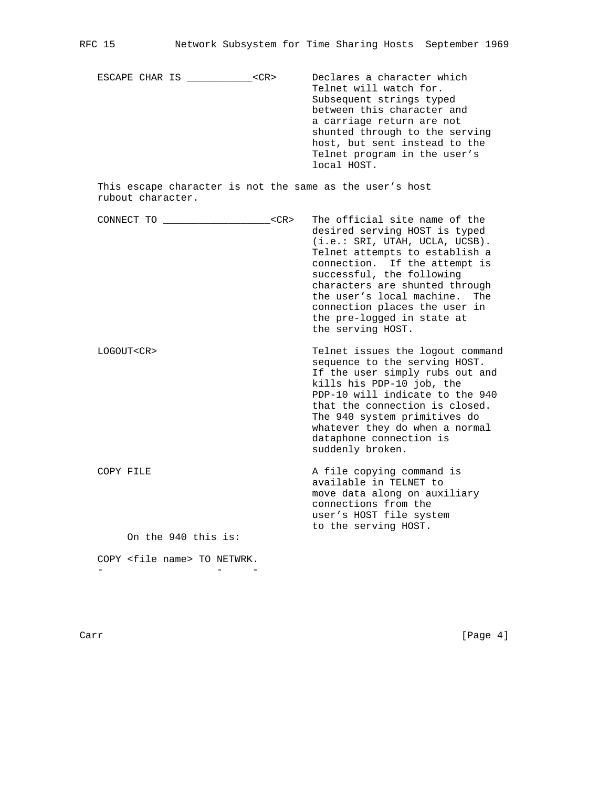| Declares a character which<br>ESCAPE CHAR IS<br>$<$ CR $>$<br>Telnet will watch for.<br>local HOST. | Subsequent strings typed<br>between this character and<br>a carriage return are not<br>shunted through to the serving<br>host, but sent instead to the<br>Telnet program in the user's |
|-----------------------------------------------------------------------------------------------------|----------------------------------------------------------------------------------------------------------------------------------------------------------------------------------------|
|-----------------------------------------------------------------------------------------------------|----------------------------------------------------------------------------------------------------------------------------------------------------------------------------------------|

 This escape character is not the same as the user's host rubout character.

| CONNECT TO       |                     | $<$ CR $>$ | The official site name of the<br>desired serving HOST is typed<br>(i.e.: SRI, UTAH, UCLA, UCSB).<br>Telnet attempts to establish a<br>connection. If the attempt is<br>successful, the following<br>characters are shunted through<br>the user's local machine.<br>The<br>connection places the user in<br>the pre-logged in state at<br>the serving HOST. |
|------------------|---------------------|------------|------------------------------------------------------------------------------------------------------------------------------------------------------------------------------------------------------------------------------------------------------------------------------------------------------------------------------------------------------------|
| LOGOUT <cr></cr> |                     |            | Telnet issues the logout command<br>sequence to the serving HOST.<br>If the user simply rubs out and<br>kills his PDP-10 job, the<br>PDP-10 will indicate to the 940<br>that the connection is closed.<br>The 940 system primitives do<br>whatever they do when a normal<br>dataphone connection is<br>suddenly broken.                                    |
| COPY FILE        |                     |            | A file copying command is<br>available in TELNET to<br>move data along on auxiliary<br>connections from the<br>user's HOST file system<br>to the serving HOST.                                                                                                                                                                                             |
|                  | On the 940 this is: |            |                                                                                                                                                                                                                                                                                                                                                            |

 COPY <file name> TO NETWRK. - - -